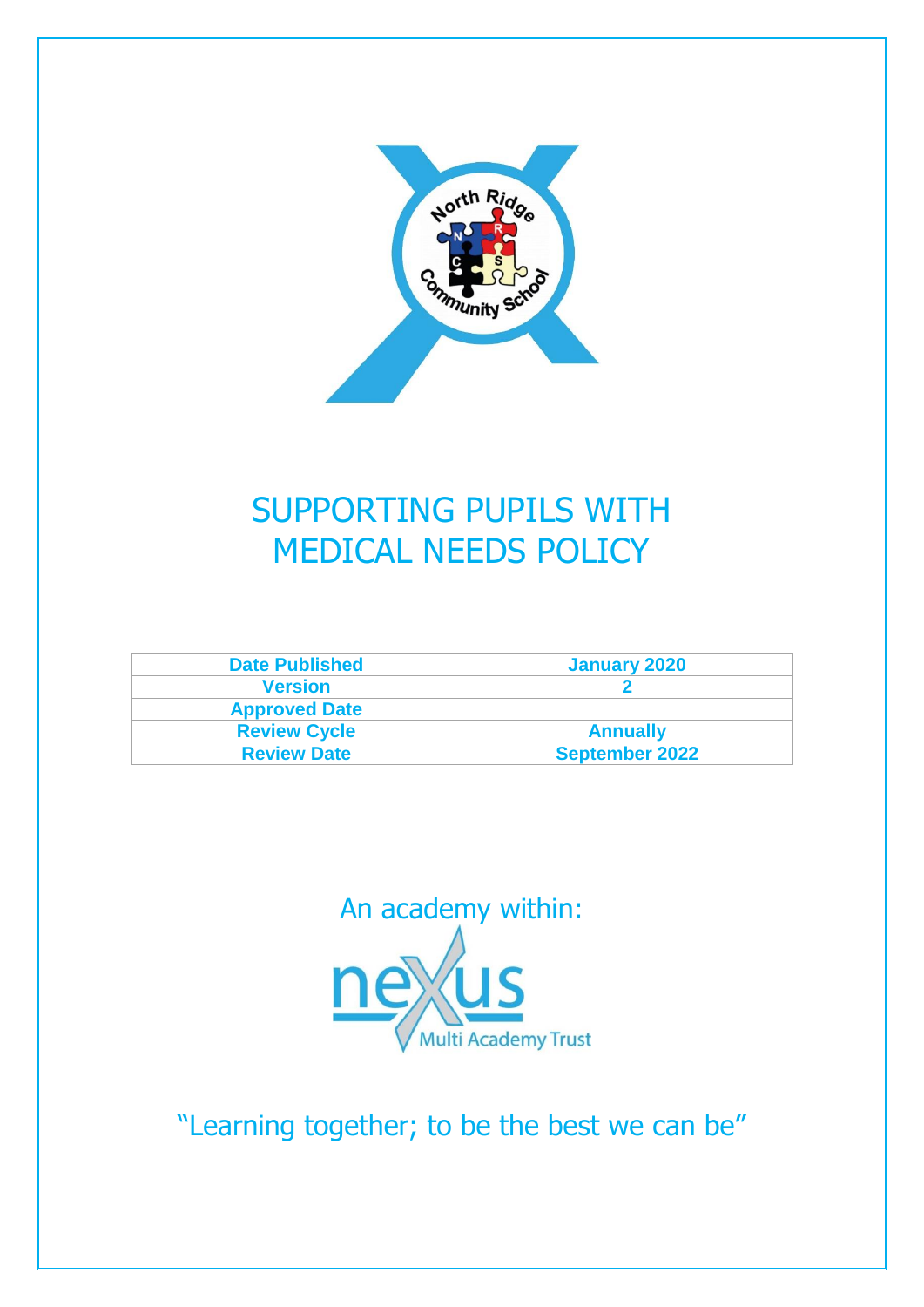

# SUPPORTING PUPILS WITH MEDICAL NEEDS POLICY

| <b>Date Published</b> | January 2020          |
|-----------------------|-----------------------|
| <b>Version</b>        |                       |
| <b>Approved Date</b>  |                       |
| <b>Review Cycle</b>   | <b>Annually</b>       |
| <b>Review Date</b>    | <b>September 2022</b> |



"Learning together; to be the best we can be"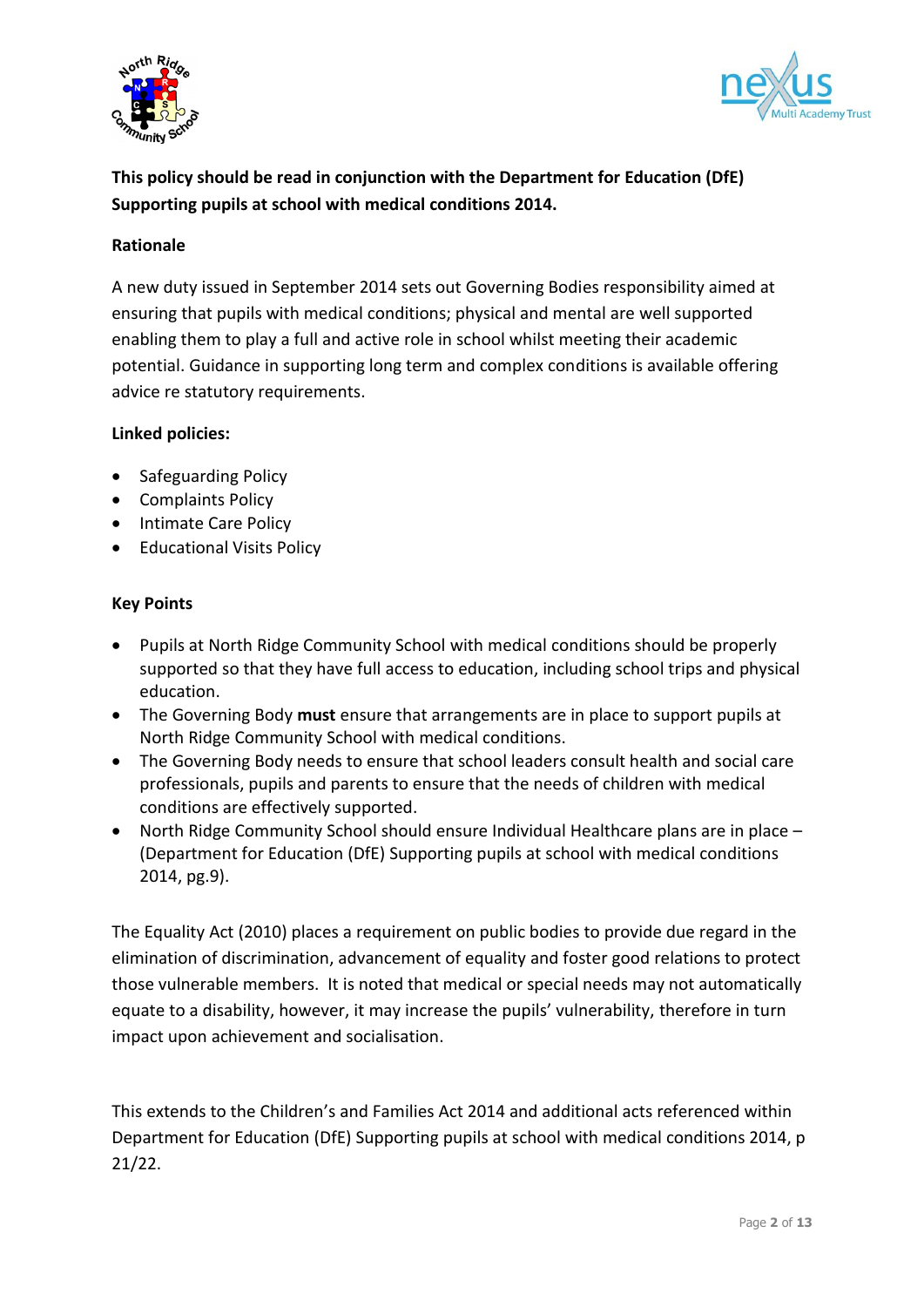



# **This policy should be read in conjunction with the Department for Education (DfE) Supporting pupils at school with medical conditions 2014.**

#### **Rationale**

A new duty issued in September 2014 sets out Governing Bodies responsibility aimed at ensuring that pupils with medical conditions; physical and mental are well supported enabling them to play a full and active role in school whilst meeting their academic potential. Guidance in supporting long term and complex conditions is available offering advice re statutory requirements.

#### **Linked policies:**

- Safeguarding Policy
- Complaints Policy
- Intimate Care Policy
- Educational Visits Policy

#### **Key Points**

- Pupils at North Ridge Community School with medical conditions should be properly supported so that they have full access to education, including school trips and physical education.
- The Governing Body **must** ensure that arrangements are in place to support pupils at North Ridge Community School with medical conditions.
- The Governing Body needs to ensure that school leaders consult health and social care professionals, pupils and parents to ensure that the needs of children with medical conditions are effectively supported.
- North Ridge Community School should ensure Individual Healthcare plans are in place (Department for Education (DfE) Supporting pupils at school with medical conditions 2014, pg.9).

The Equality Act (2010) places a requirement on public bodies to provide due regard in the elimination of discrimination, advancement of equality and foster good relations to protect those vulnerable members. It is noted that medical or special needs may not automatically equate to a disability, however, it may increase the pupils' vulnerability, therefore in turn impact upon achievement and socialisation.

This extends to the Children's and Families Act 2014 and additional acts referenced within Department for Education (DfE) Supporting pupils at school with medical conditions 2014, p 21/22.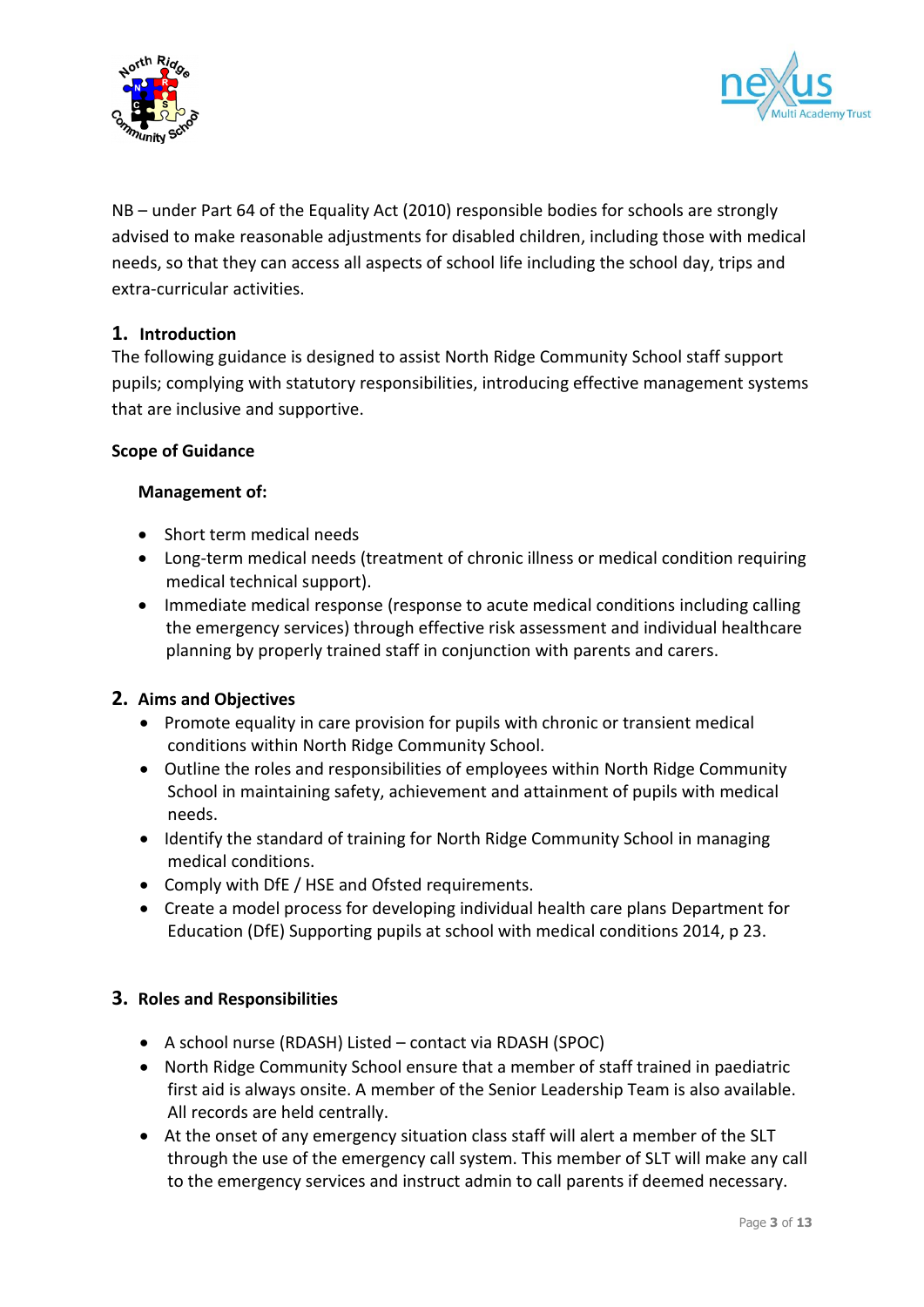



NB – under Part 64 of the Equality Act (2010) responsible bodies for schools are strongly advised to make reasonable adjustments for disabled children, including those with medical needs, so that they can access all aspects of school life including the school day, trips and extra-curricular activities.

### **1. Introduction**

The following guidance is designed to assist North Ridge Community School staff support pupils; complying with statutory responsibilities, introducing effective management systems that are inclusive and supportive.

#### **Scope of Guidance**

#### **Management of:**

- Short term medical needs
- Long-term medical needs (treatment of chronic illness or medical condition requiring medical technical support).
- Immediate medical response (response to acute medical conditions including calling the emergency services) through effective risk assessment and individual healthcare planning by properly trained staff in conjunction with parents and carers.

### **2. Aims and Objectives**

- Promote equality in care provision for pupils with chronic or transient medical conditions within North Ridge Community School.
- Outline the roles and responsibilities of employees within North Ridge Community School in maintaining safety, achievement and attainment of pupils with medical needs.
- Identify the standard of training for North Ridge Community School in managing medical conditions.
- Comply with DfE / HSE and Ofsted requirements.
- Create a model process for developing individual health care plans Department for Education (DfE) Supporting pupils at school with medical conditions 2014, p 23.

#### **3. Roles and Responsibilities**

- A school nurse (RDASH) Listed contact via RDASH (SPOC)
- North Ridge Community School ensure that a member of staff trained in paediatric first aid is always onsite. A member of the Senior Leadership Team is also available. All records are held centrally.
- At the onset of any emergency situation class staff will alert a member of the SLT through the use of the emergency call system. This member of SLT will make any call to the emergency services and instruct admin to call parents if deemed necessary.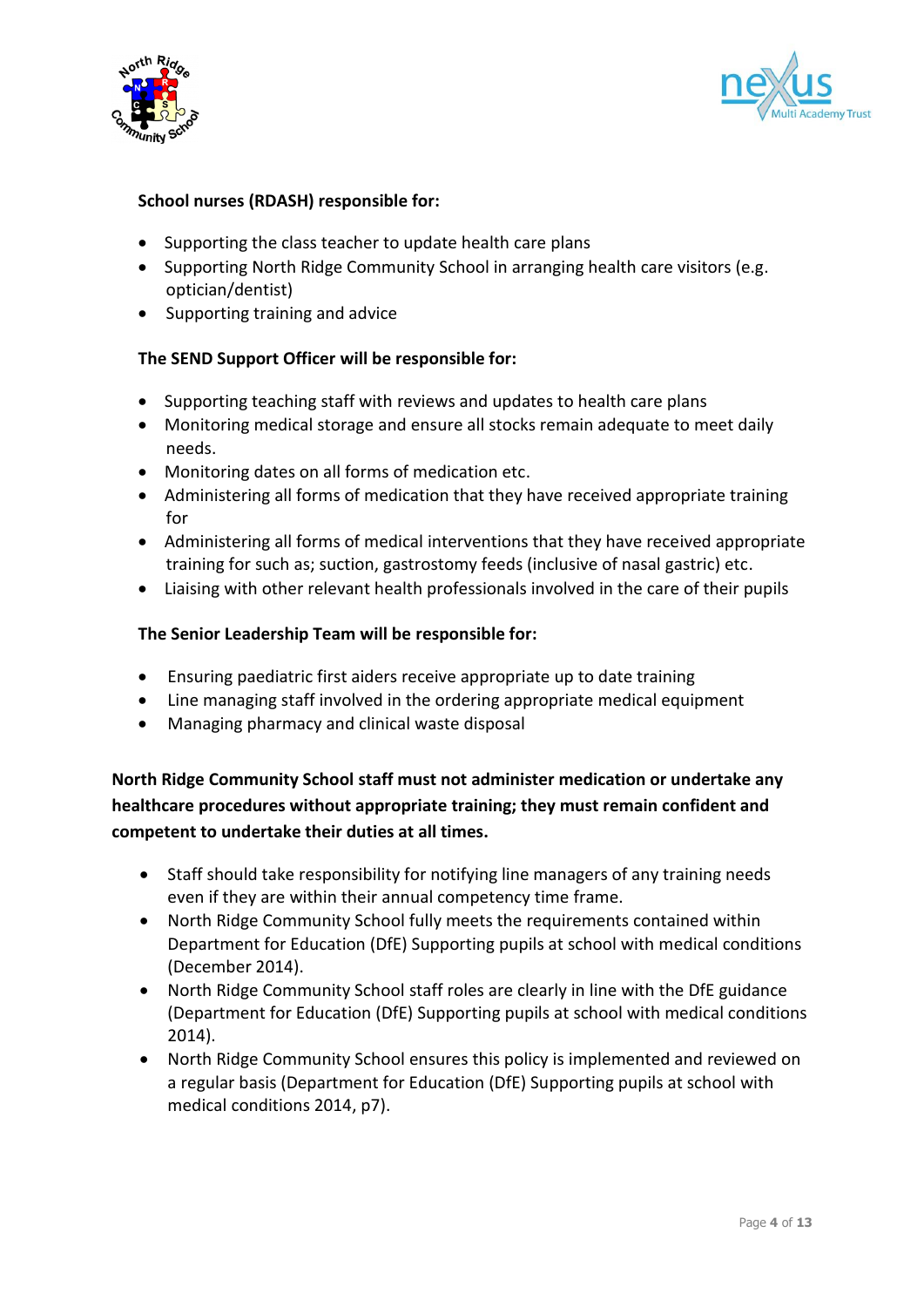



#### **School nurses (RDASH) responsible for:**

- Supporting the class teacher to update health care plans
- Supporting North Ridge Community School in arranging health care visitors (e.g. optician/dentist)
- Supporting training and advice

#### **The SEND Support Officer will be responsible for:**

- Supporting teaching staff with reviews and updates to health care plans
- Monitoring medical storage and ensure all stocks remain adequate to meet daily needs.
- Monitoring dates on all forms of medication etc.
- Administering all forms of medication that they have received appropriate training for
- Administering all forms of medical interventions that they have received appropriate training for such as; suction, gastrostomy feeds (inclusive of nasal gastric) etc.
- Liaising with other relevant health professionals involved in the care of their pupils

#### **The Senior Leadership Team will be responsible for:**

- Ensuring paediatric first aiders receive appropriate up to date training
- Line managing staff involved in the ordering appropriate medical equipment
- Managing pharmacy and clinical waste disposal

**North Ridge Community School staff must not administer medication or undertake any healthcare procedures without appropriate training; they must remain confident and competent to undertake their duties at all times.**

- Staff should take responsibility for notifying line managers of any training needs even if they are within their annual competency time frame.
- North Ridge Community School fully meets the requirements contained within Department for Education (DfE) Supporting pupils at school with medical conditions (December 2014).
- North Ridge Community School staff roles are clearly in line with the DfE guidance (Department for Education (DfE) Supporting pupils at school with medical conditions 2014).
- North Ridge Community School ensures this policy is implemented and reviewed on a regular basis (Department for Education (DfE) Supporting pupils at school with medical conditions 2014, p7).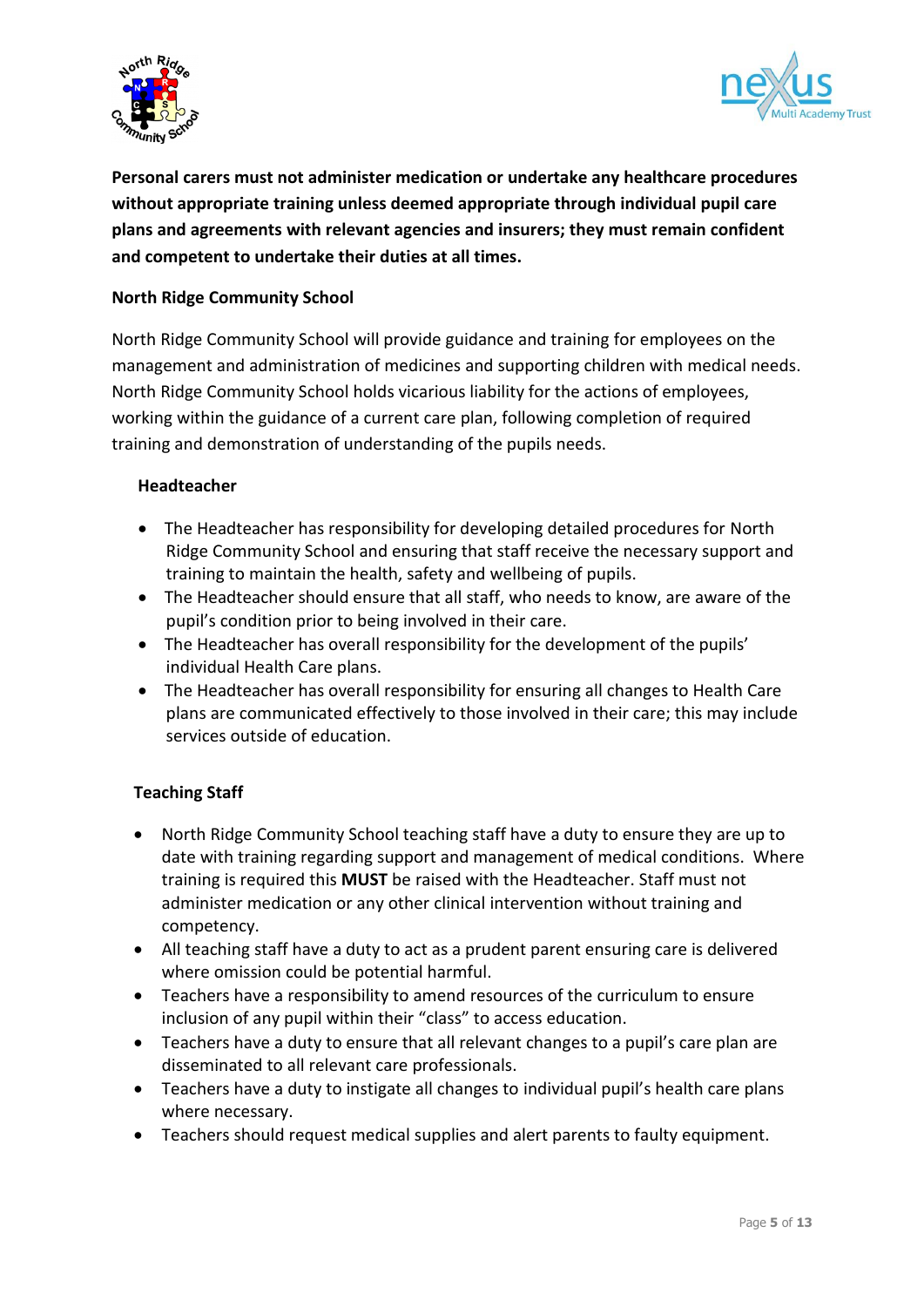



**Personal carers must not administer medication or undertake any healthcare procedures without appropriate training unless deemed appropriate through individual pupil care plans and agreements with relevant agencies and insurers; they must remain confident and competent to undertake their duties at all times.**

#### **North Ridge Community School**

North Ridge Community School will provide guidance and training for employees on the management and administration of medicines and supporting children with medical needs. North Ridge Community School holds vicarious liability for the actions of employees, working within the guidance of a current care plan, following completion of required training and demonstration of understanding of the pupils needs.

#### **Headteacher**

- The Headteacher has responsibility for developing detailed procedures for North Ridge Community School and ensuring that staff receive the necessary support and training to maintain the health, safety and wellbeing of pupils.
- The Headteacher should ensure that all staff, who needs to know, are aware of the pupil's condition prior to being involved in their care.
- The Headteacher has overall responsibility for the development of the pupils' individual Health Care plans.
- The Headteacher has overall responsibility for ensuring all changes to Health Care plans are communicated effectively to those involved in their care; this may include services outside of education.

#### **Teaching Staff**

- North Ridge Community School teaching staff have a duty to ensure they are up to date with training regarding support and management of medical conditions. Where training is required this **MUST** be raised with the Headteacher. Staff must not administer medication or any other clinical intervention without training and competency.
- All teaching staff have a duty to act as a prudent parent ensuring care is delivered where omission could be potential harmful.
- Teachers have a responsibility to amend resources of the curriculum to ensure inclusion of any pupil within their "class" to access education.
- Teachers have a duty to ensure that all relevant changes to a pupil's care plan are disseminated to all relevant care professionals.
- Teachers have a duty to instigate all changes to individual pupil's health care plans where necessary.
- Teachers should request medical supplies and alert parents to faulty equipment.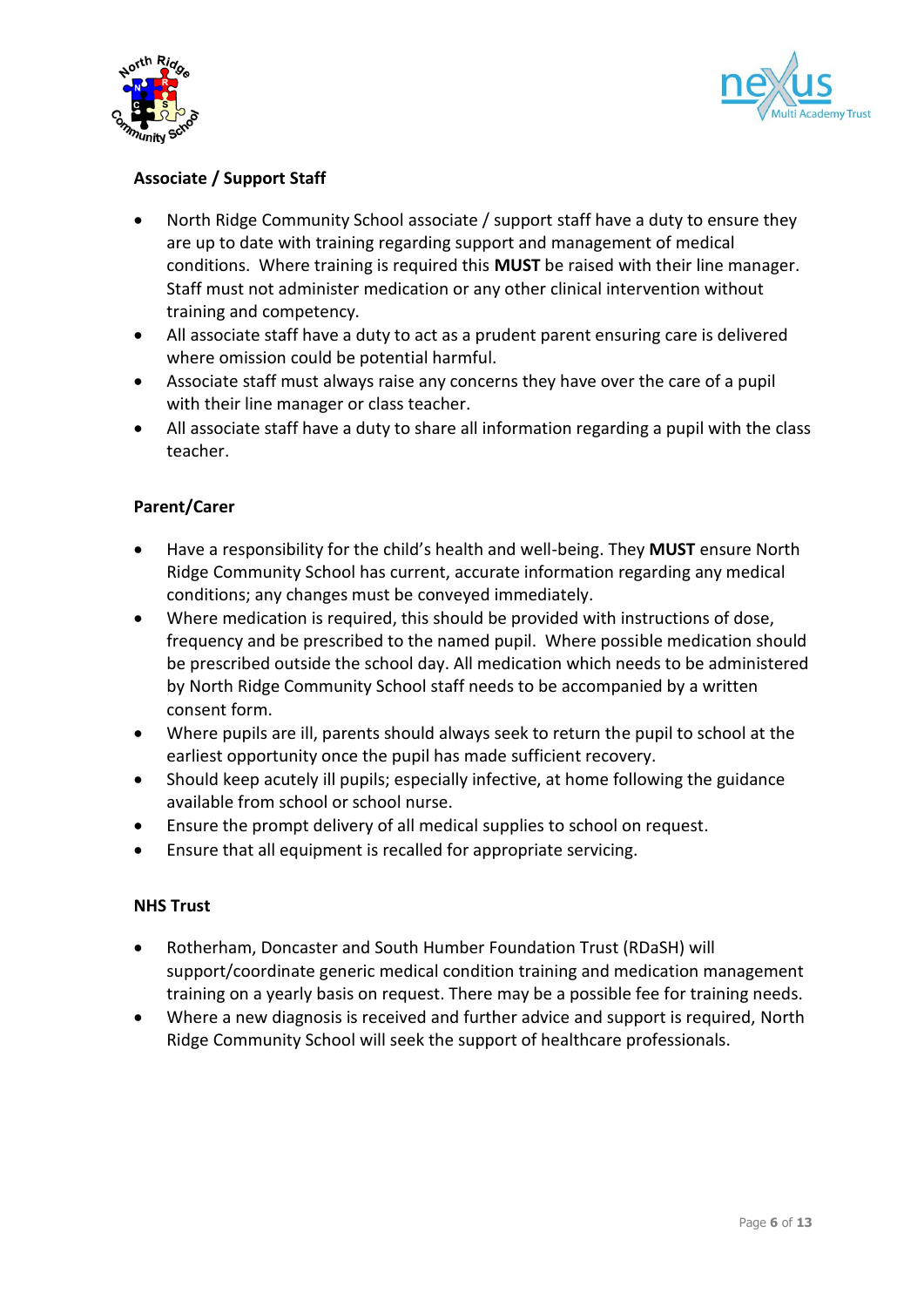



## **Associate / Support Staff**

- North Ridge Community School associate / support staff have a duty to ensure they are up to date with training regarding support and management of medical conditions. Where training is required this **MUST** be raised with their line manager. Staff must not administer medication or any other clinical intervention without training and competency.
- All associate staff have a duty to act as a prudent parent ensuring care is delivered where omission could be potential harmful.
- Associate staff must always raise any concerns they have over the care of a pupil with their line manager or class teacher.
- All associate staff have a duty to share all information regarding a pupil with the class teacher.

#### **Parent/Carer**

- Have a responsibility for the child's health and well-being. They **MUST** ensure North Ridge Community School has current, accurate information regarding any medical conditions; any changes must be conveyed immediately.
- Where medication is required, this should be provided with instructions of dose, frequency and be prescribed to the named pupil. Where possible medication should be prescribed outside the school day. All medication which needs to be administered by North Ridge Community School staff needs to be accompanied by a written consent form.
- Where pupils are ill, parents should always seek to return the pupil to school at the earliest opportunity once the pupil has made sufficient recovery.
- Should keep acutely ill pupils; especially infective, at home following the guidance available from school or school nurse.
- Ensure the prompt delivery of all medical supplies to school on request.
- Ensure that all equipment is recalled for appropriate servicing.

#### **NHS Trust**

- Rotherham, Doncaster and South Humber Foundation Trust (RDaSH) will support/coordinate generic medical condition training and medication management training on a yearly basis on request. There may be a possible fee for training needs.
- Where a new diagnosis is received and further advice and support is required, North Ridge Community School will seek the support of healthcare professionals.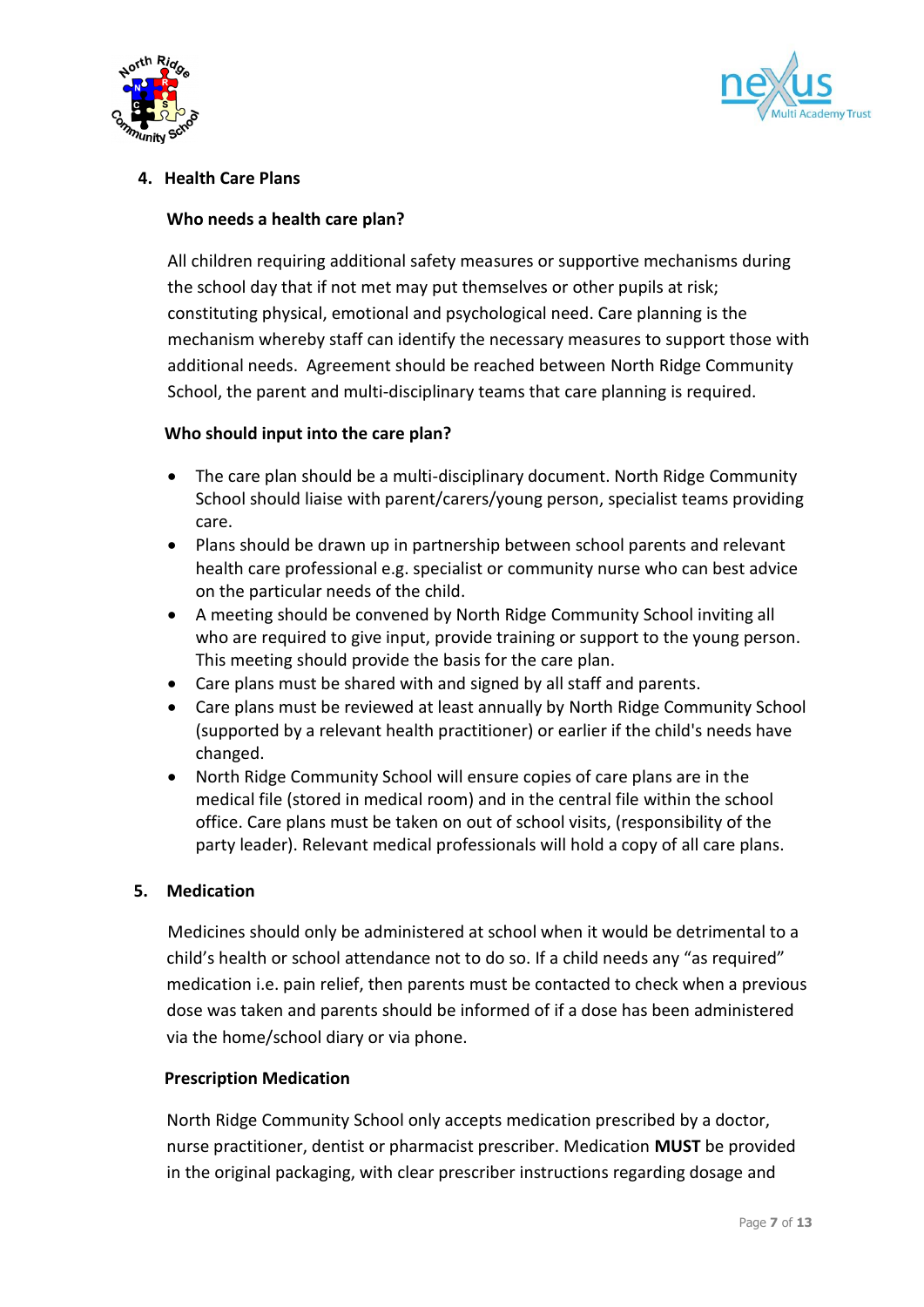



## **4. Health Care Plans**

#### **Who needs a health care plan?**

All children requiring additional safety measures or supportive mechanisms during the school day that if not met may put themselves or other pupils at risk; constituting physical, emotional and psychological need. Care planning is the mechanism whereby staff can identify the necessary measures to support those with additional needs. Agreement should be reached between North Ridge Community School, the parent and multi-disciplinary teams that care planning is required.

#### **Who should input into the care plan?**

- The care plan should be a multi-disciplinary document. North Ridge Community School should liaise with parent/carers/young person, specialist teams providing care.
- Plans should be drawn up in partnership between school parents and relevant health care professional e.g. specialist or community nurse who can best advice on the particular needs of the child.
- A meeting should be convened by North Ridge Community School inviting all who are required to give input, provide training or support to the young person. This meeting should provide the basis for the care plan.
- Care plans must be shared with and signed by all staff and parents.
- Care plans must be reviewed at least annually by North Ridge Community School (supported by a relevant health practitioner) or earlier if the child's needs have changed.
- North Ridge Community School will ensure copies of care plans are in the medical file (stored in medical room) and in the central file within the school office. Care plans must be taken on out of school visits, (responsibility of the party leader). Relevant medical professionals will hold a copy of all care plans.

#### **5. Medication**

Medicines should only be administered at school when it would be detrimental to a child's health or school attendance not to do so. If a child needs any "as required" medication i.e. pain relief, then parents must be contacted to check when a previous dose was taken and parents should be informed of if a dose has been administered via the home/school diary or via phone.

#### **Prescription Medication**

North Ridge Community School only accepts medication prescribed by a doctor, nurse practitioner, dentist or pharmacist prescriber. Medication **MUST** be provided in the original packaging, with clear prescriber instructions regarding dosage and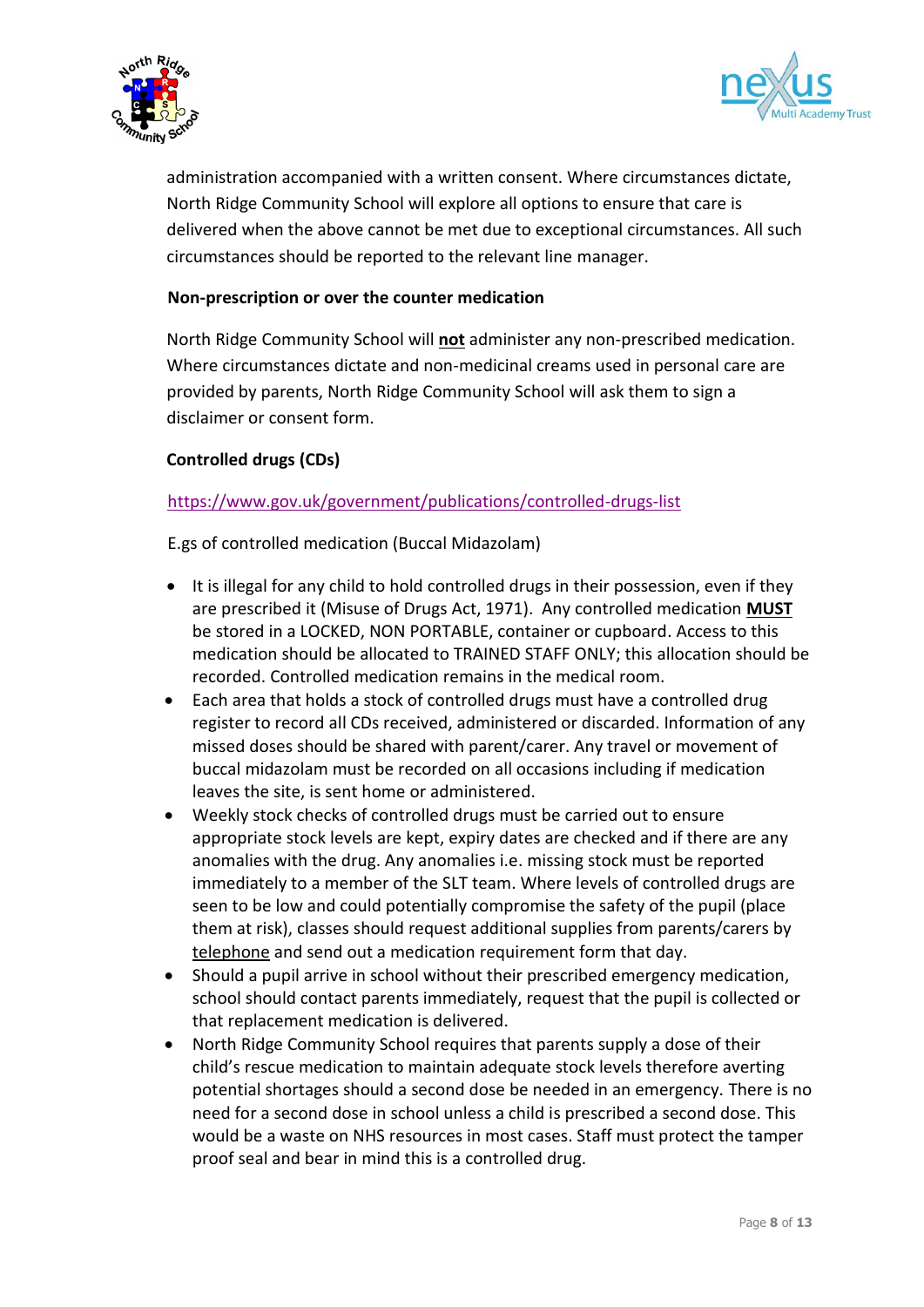



administration accompanied with a written consent. Where circumstances dictate, North Ridge Community School will explore all options to ensure that care is delivered when the above cannot be met due to exceptional circumstances. All such circumstances should be reported to the relevant line manager.

#### **Non-prescription or over the counter medication**

North Ridge Community School will **not** administer any non-prescribed medication. Where circumstances dictate and non-medicinal creams used in personal care are provided by parents, North Ridge Community School will ask them to sign a disclaimer or consent form.

#### **Controlled drugs (CDs)**

#### <https://www.gov.uk/government/publications/controlled-drugs-list>

E.gs of controlled medication (Buccal Midazolam)

- It is illegal for any child to hold controlled drugs in their possession, even if they are prescribed it (Misuse of Drugs Act, 1971). Any controlled medication **MUST** be stored in a LOCKED, NON PORTABLE, container or cupboard. Access to this medication should be allocated to TRAINED STAFF ONLY; this allocation should be recorded. Controlled medication remains in the medical room.
- Each area that holds a stock of controlled drugs must have a controlled drug register to record all CDs received, administered or discarded. Information of any missed doses should be shared with parent/carer. Any travel or movement of buccal midazolam must be recorded on all occasions including if medication leaves the site, is sent home or administered.
- Weekly stock checks of controlled drugs must be carried out to ensure appropriate stock levels are kept, expiry dates are checked and if there are any anomalies with the drug. Any anomalies i.e. missing stock must be reported immediately to a member of the SLT team. Where levels of controlled drugs are seen to be low and could potentially compromise the safety of the pupil (place them at risk), classes should request additional supplies from parents/carers by telephone and send out a medication requirement form that day.
- Should a pupil arrive in school without their prescribed emergency medication, school should contact parents immediately, request that the pupil is collected or that replacement medication is delivered.
- North Ridge Community School requires that parents supply a dose of their child's rescue medication to maintain adequate stock levels therefore averting potential shortages should a second dose be needed in an emergency. There is no need for a second dose in school unless a child is prescribed a second dose. This would be a waste on NHS resources in most cases. Staff must protect the tamper proof seal and bear in mind this is a controlled drug.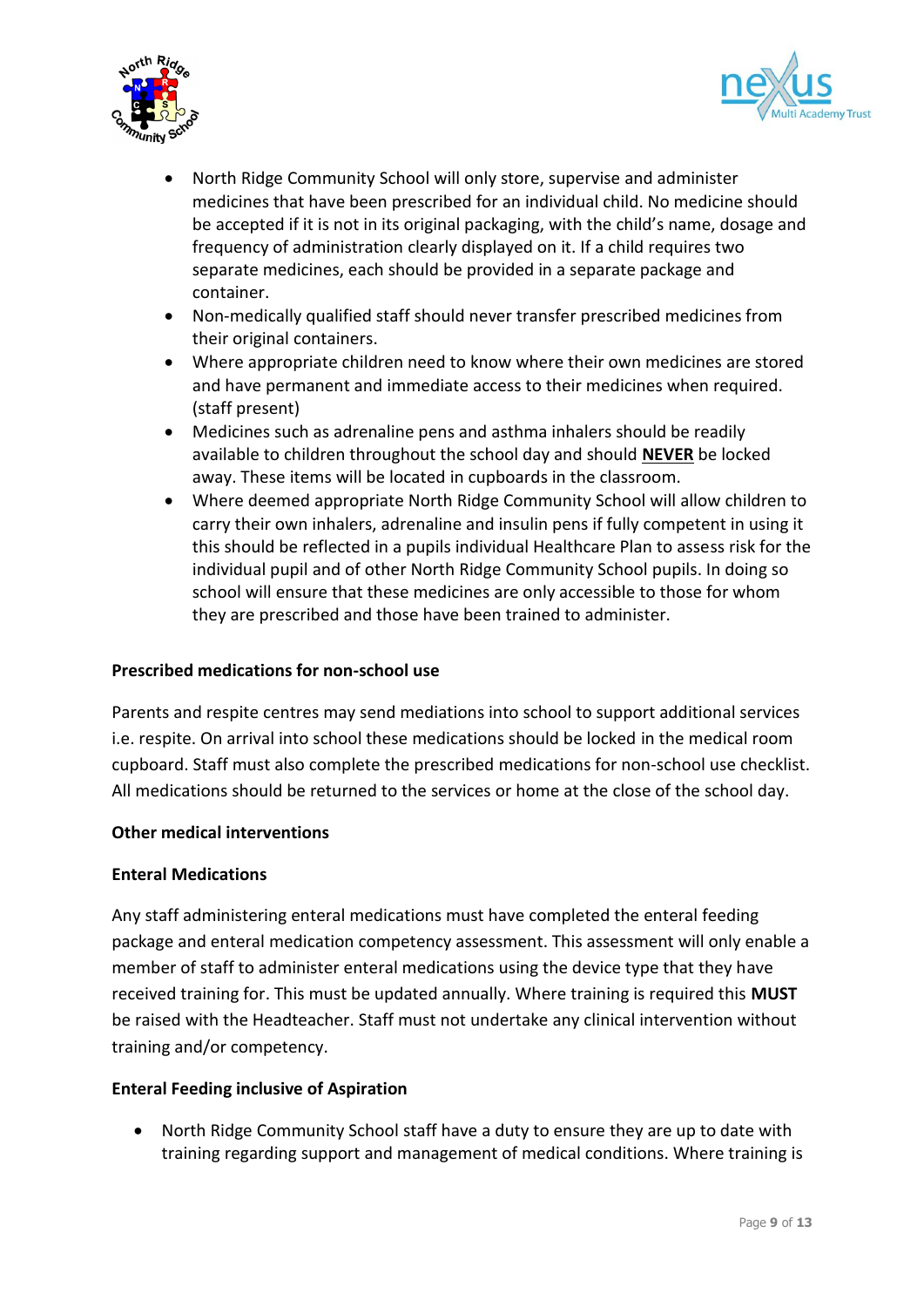



- North Ridge Community School will only store, supervise and administer medicines that have been prescribed for an individual child. No medicine should be accepted if it is not in its original packaging, with the child's name, dosage and frequency of administration clearly displayed on it. If a child requires two separate medicines, each should be provided in a separate package and container.
- Non-medically qualified staff should never transfer prescribed medicines from their original containers.
- Where appropriate children need to know where their own medicines are stored and have permanent and immediate access to their medicines when required. (staff present)
- Medicines such as adrenaline pens and asthma inhalers should be readily available to children throughout the school day and should **NEVER** be locked away. These items will be located in cupboards in the classroom.
- Where deemed appropriate North Ridge Community School will allow children to carry their own inhalers, adrenaline and insulin pens if fully competent in using it this should be reflected in a pupils individual Healthcare Plan to assess risk for the individual pupil and of other North Ridge Community School pupils. In doing so school will ensure that these medicines are only accessible to those for whom they are prescribed and those have been trained to administer.

#### **Prescribed medications for non-school use**

Parents and respite centres may send mediations into school to support additional services i.e. respite. On arrival into school these medications should be locked in the medical room cupboard. Staff must also complete the prescribed medications for non-school use checklist. All medications should be returned to the services or home at the close of the school day.

#### **Other medical interventions**

#### **Enteral Medications**

Any staff administering enteral medications must have completed the enteral feeding package and enteral medication competency assessment. This assessment will only enable a member of staff to administer enteral medications using the device type that they have received training for. This must be updated annually. Where training is required this **MUST** be raised with the Headteacher. Staff must not undertake any clinical intervention without training and/or competency.

#### **Enteral Feeding inclusive of Aspiration**

 North Ridge Community School staff have a duty to ensure they are up to date with training regarding support and management of medical conditions. Where training is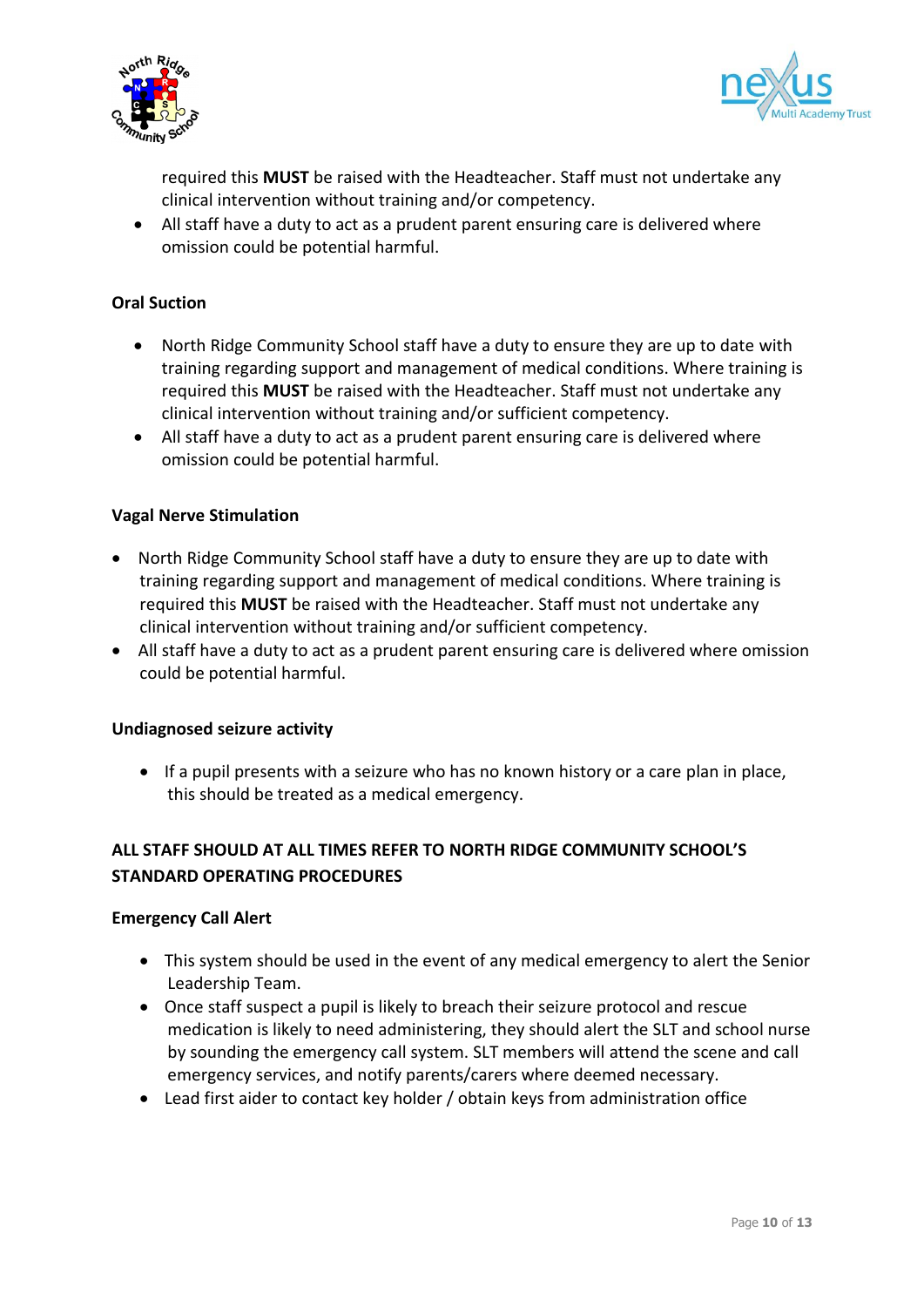



required this **MUST** be raised with the Headteacher. Staff must not undertake any clinical intervention without training and/or competency.

 All staff have a duty to act as a prudent parent ensuring care is delivered where omission could be potential harmful.

#### **Oral Suction**

- North Ridge Community School staff have a duty to ensure they are up to date with training regarding support and management of medical conditions. Where training is required this **MUST** be raised with the Headteacher. Staff must not undertake any clinical intervention without training and/or sufficient competency.
- All staff have a duty to act as a prudent parent ensuring care is delivered where omission could be potential harmful.

#### **Vagal Nerve Stimulation**

- North Ridge Community School staff have a duty to ensure they are up to date with training regarding support and management of medical conditions. Where training is required this **MUST** be raised with the Headteacher. Staff must not undertake any clinical intervention without training and/or sufficient competency.
- All staff have a duty to act as a prudent parent ensuring care is delivered where omission could be potential harmful.

#### **Undiagnosed seizure activity**

• If a pupil presents with a seizure who has no known history or a care plan in place, this should be treated as a medical emergency.

## **ALL STAFF SHOULD AT ALL TIMES REFER TO NORTH RIDGE COMMUNITY SCHOOL'S STANDARD OPERATING PROCEDURES**

#### **Emergency Call Alert**

- This system should be used in the event of any medical emergency to alert the Senior Leadership Team.
- Once staff suspect a pupil is likely to breach their seizure protocol and rescue medication is likely to need administering, they should alert the SLT and school nurse by sounding the emergency call system. SLT members will attend the scene and call emergency services, and notify parents/carers where deemed necessary.
- Lead first aider to contact key holder / obtain keys from administration office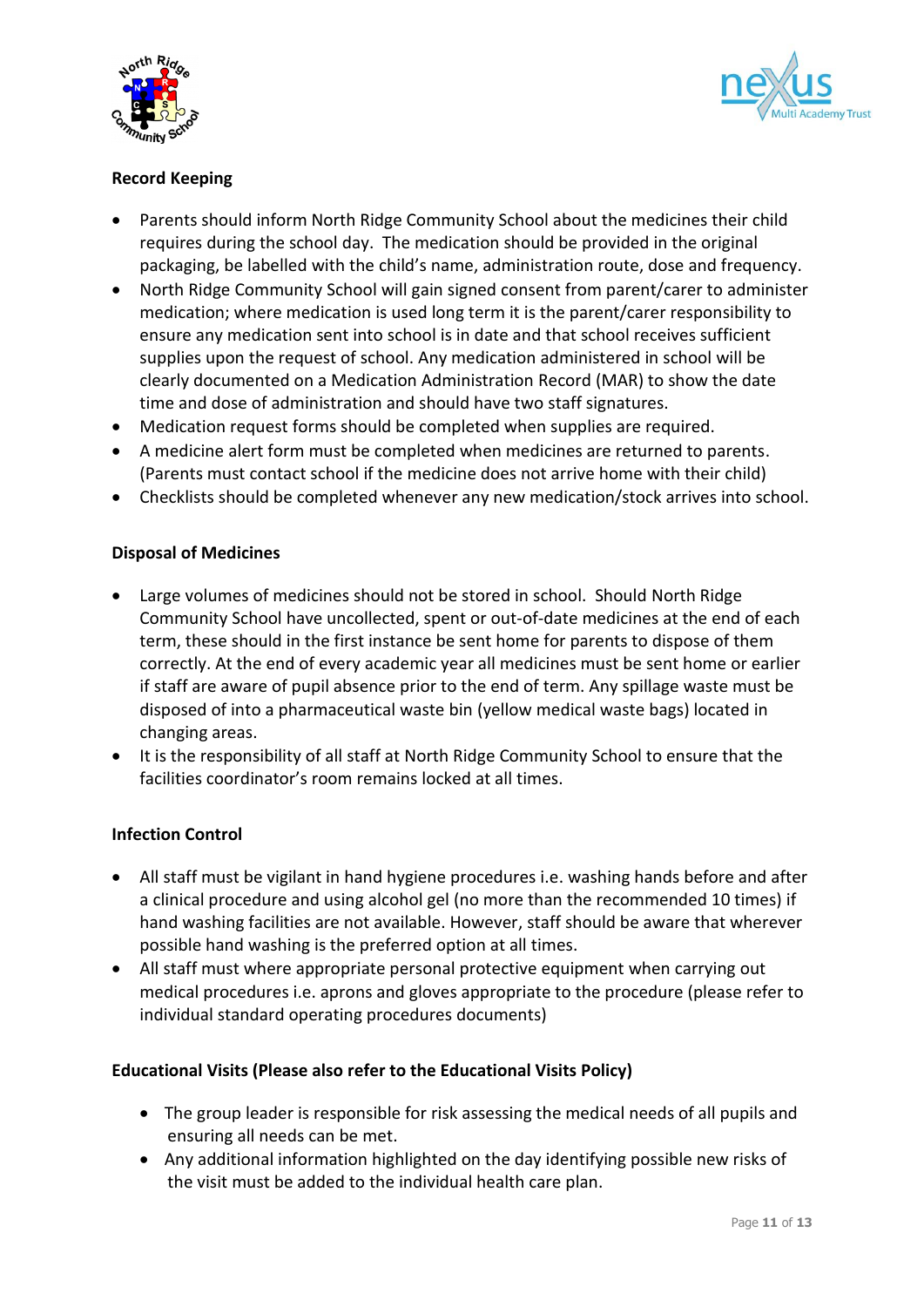



## **Record Keeping**

- Parents should inform North Ridge Community School about the medicines their child requires during the school day. The medication should be provided in the original packaging, be labelled with the child's name, administration route, dose and frequency.
- North Ridge Community School will gain signed consent from parent/carer to administer medication; where medication is used long term it is the parent/carer responsibility to ensure any medication sent into school is in date and that school receives sufficient supplies upon the request of school. Any medication administered in school will be clearly documented on a Medication Administration Record (MAR) to show the date time and dose of administration and should have two staff signatures.
- Medication request forms should be completed when supplies are required.
- A medicine alert form must be completed when medicines are returned to parents. (Parents must contact school if the medicine does not arrive home with their child)
- Checklists should be completed whenever any new medication/stock arrives into school.

#### **Disposal of Medicines**

- Large volumes of medicines should not be stored in school. Should North Ridge Community School have uncollected, spent or out-of-date medicines at the end of each term, these should in the first instance be sent home for parents to dispose of them correctly. At the end of every academic year all medicines must be sent home or earlier if staff are aware of pupil absence prior to the end of term. Any spillage waste must be disposed of into a pharmaceutical waste bin (yellow medical waste bags) located in changing areas.
- It is the responsibility of all staff at North Ridge Community School to ensure that the facilities coordinator's room remains locked at all times.

#### **Infection Control**

- All staff must be vigilant in hand hygiene procedures i.e. washing hands before and after a clinical procedure and using alcohol gel (no more than the recommended 10 times) if hand washing facilities are not available. However, staff should be aware that wherever possible hand washing is the preferred option at all times.
- All staff must where appropriate personal protective equipment when carrying out medical procedures i.e. aprons and gloves appropriate to the procedure (please refer to individual standard operating procedures documents)

#### **Educational Visits (Please also refer to the Educational Visits Policy)**

- The group leader is responsible for risk assessing the medical needs of all pupils and ensuring all needs can be met.
- Any additional information highlighted on the day identifying possible new risks of the visit must be added to the individual health care plan.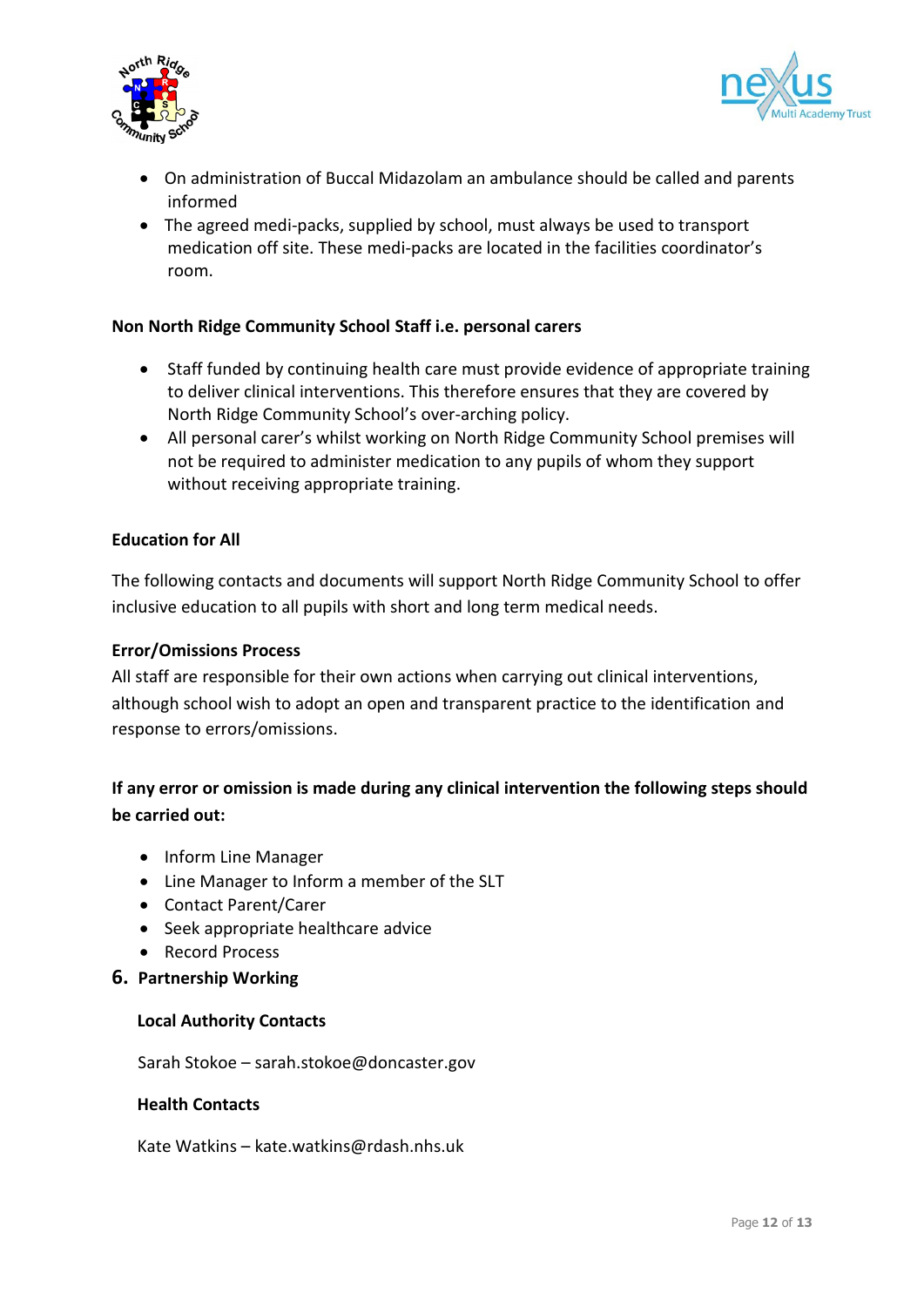



- On administration of Buccal Midazolam an ambulance should be called and parents informed
- The agreed medi-packs, supplied by school, must always be used to transport medication off site. These medi-packs are located in the facilities coordinator's room.

#### **Non North Ridge Community School Staff i.e. personal carers**

- Staff funded by continuing health care must provide evidence of appropriate training to deliver clinical interventions. This therefore ensures that they are covered by North Ridge Community School's over-arching policy.
- All personal carer's whilst working on North Ridge Community School premises will not be required to administer medication to any pupils of whom they support without receiving appropriate training.

#### **Education for All**

The following contacts and documents will support North Ridge Community School to offer inclusive education to all pupils with short and long term medical needs.

#### **Error/Omissions Process**

All staff are responsible for their own actions when carrying out clinical interventions, although school wish to adopt an open and transparent practice to the identification and response to errors/omissions.

# **If any error or omission is made during any clinical intervention the following steps should be carried out:**

- Inform Line Manager
- Line Manager to Inform a member of the SLT
- Contact Parent/Carer
- Seek appropriate healthcare advice
- Record Process
- **6. Partnership Working**

#### **Local Authority Contacts**

Sarah Stokoe – sarah.stokoe@doncaster.gov

#### **Health Contacts**

Kate Watkins – kate.watkins@rdash.nhs.uk